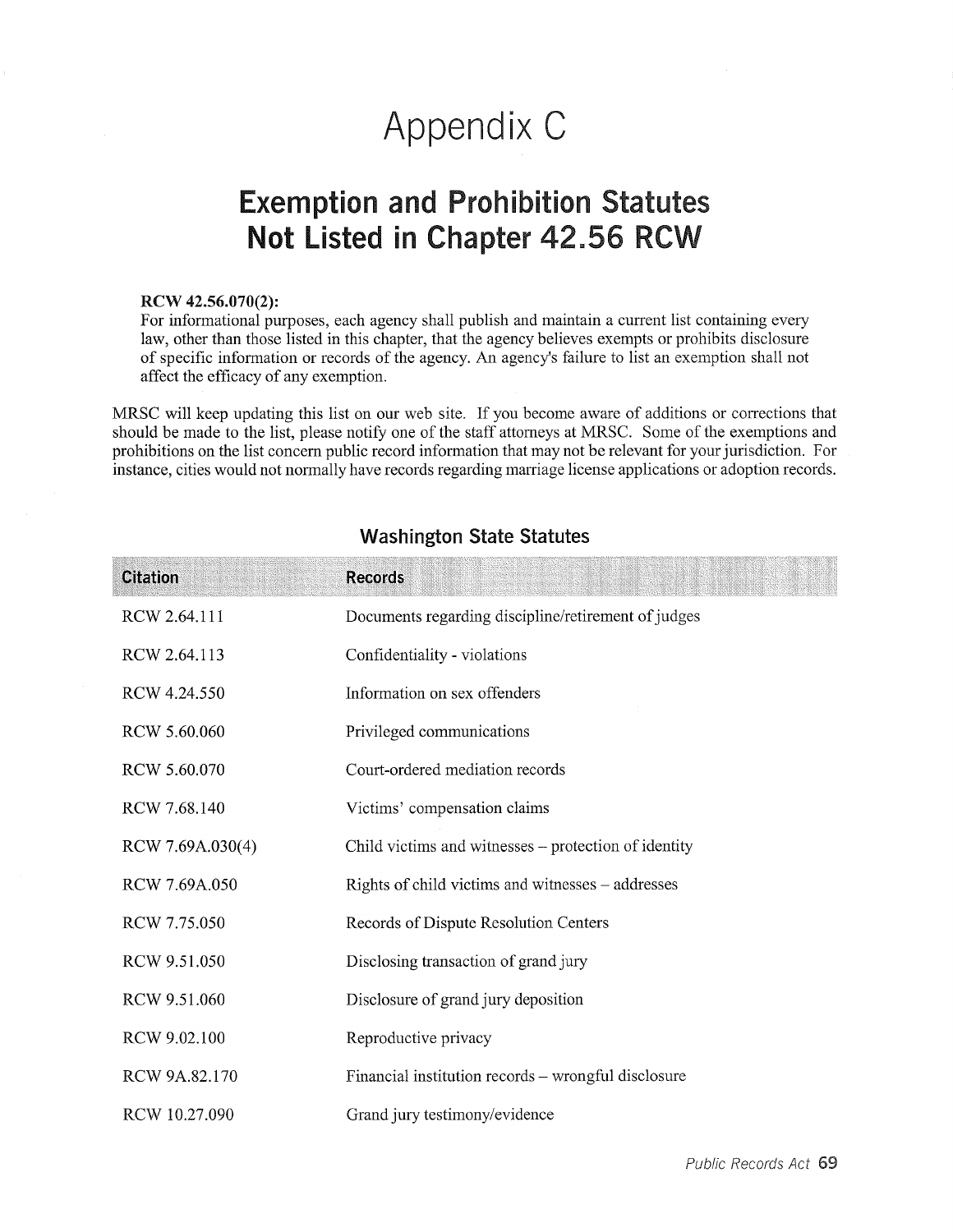# Appendix C

# Exemption and Prohibition Statutes Not Listed in Chapter 42.56 RCW

#### RCW 42.56.070(2):

For informational purposes, each agency shall publish and maintain a current list containing every law, other than those listed in this chapter, that the agency believes exempts or prohibits disclosure of specific information or records of the agency. An agency's failure to list an exemption shall not affect the efficacy of any exemption.

MRSC will keep updating this list on our web site. If you become aware of additions or corrections that should be made to the list, please notify one of the staff attorneys at MRSC. Some of the exemptions and prohibitions on the list concern public record information that may not be relevant for your jurisdiction. For instance, cities would not normally have records regarding marriage license applications or adoption records.

| <b>Citation</b>  | <b>Records</b>                                       |
|------------------|------------------------------------------------------|
| RCW 2.64.111     | Documents regarding discipline/retirement of judges  |
| RCW 2.64.113     | Confidentiality - violations                         |
| RCW 4.24.550     | Information on sex offenders                         |
| RCW 5.60.060     | Privileged communications                            |
| RCW 5.60.070     | Court-ordered mediation records                      |
| RCW 7.68.140     | Victims' compensation claims                         |
| RCW 7.69A.030(4) | Child victims and witnesses – protection of identity |
| RCW 7.69A.050    | Rights of child victims and witnesses – addresses    |
| RCW 7.75.050     | Records of Dispute Resolution Centers                |
| RCW 9.51.050     | Disclosing transaction of grand jury                 |
| RCW 9.51.060     | Disclosure of grand jury deposition                  |
| RCW 9.02.100     | Reproductive privacy                                 |
| RCW 9A.82.170    | Financial institution records – wrongful disclosure  |
| RCW 10.27.090    | Grand jury testimony/evidence                        |

#### Washington State Statutes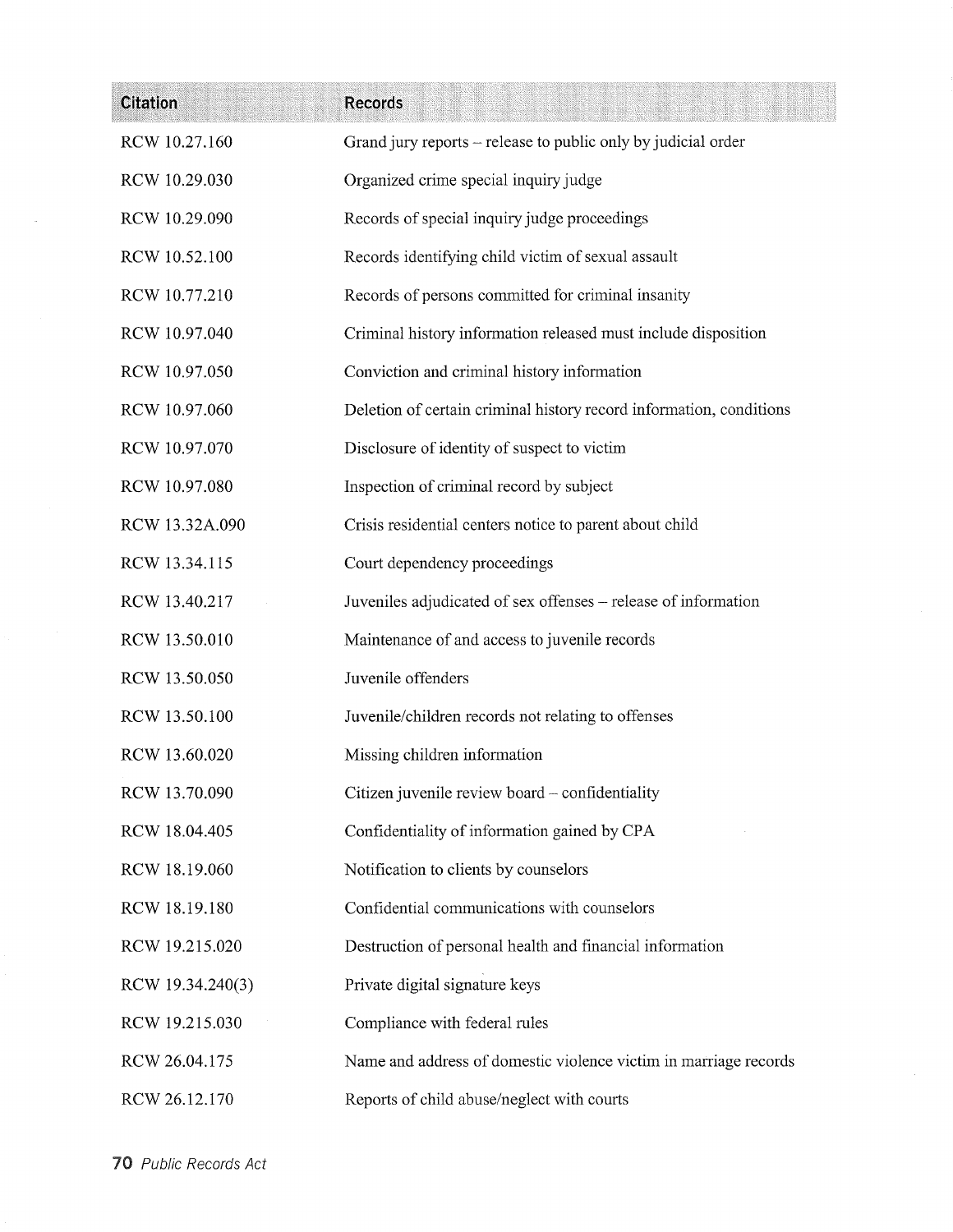| <b>Citation</b>  | <b>Records</b>                                                      |
|------------------|---------------------------------------------------------------------|
| RCW 10.27.160    | Grand jury reports – release to public only by judicial order       |
| RCW 10.29.030    | Organized crime special inquiry judge                               |
| RCW 10.29.090    | Records of special inquiry judge proceedings                        |
| RCW 10.52.100    | Records identifying child victim of sexual assault                  |
| RCW 10.77.210    | Records of persons committed for criminal insanity                  |
| RCW 10.97.040    | Criminal history information released must include disposition      |
| RCW 10.97.050    | Conviction and criminal history information                         |
| RCW 10.97.060    | Deletion of certain criminal history record information, conditions |
| RCW 10.97.070    | Disclosure of identity of suspect to victim                         |
| RCW 10.97.080    | Inspection of criminal record by subject                            |
| RCW 13.32A.090   | Crisis residential centers notice to parent about child             |
| RCW 13.34.115    | Court dependency proceedings                                        |
| RCW 13.40.217    | Juveniles adjudicated of sex offenses - release of information      |
| RCW 13.50.010    | Maintenance of and access to juvenile records                       |
| RCW 13.50.050    | Juvenile offenders                                                  |
| RCW 13.50.100    | Juvenile/children records not relating to offenses                  |
| RCW 13.60.020    | Missing children information                                        |
| RCW 13.70.090    | Citizen juvenile review board - confidentiality                     |
| RCW 18.04.405    | Confidentiality of information gained by CPA                        |
| RCW 18.19.060    | Notification to clients by counselors                               |
| RCW 18.19.180    | Confidential communications with counselors                         |
| RCW 19.215.020   | Destruction of personal health and financial information            |
| RCW 19.34.240(3) | Private digital signature keys                                      |
| RCW 19.215.030   | Compliance with federal rules                                       |
| RCW 26.04.175    | Name and address of domestic violence victim in marriage records    |
| RCW 26.12.170    | Reports of child abuse/neglect with courts                          |

 $\overline{a}$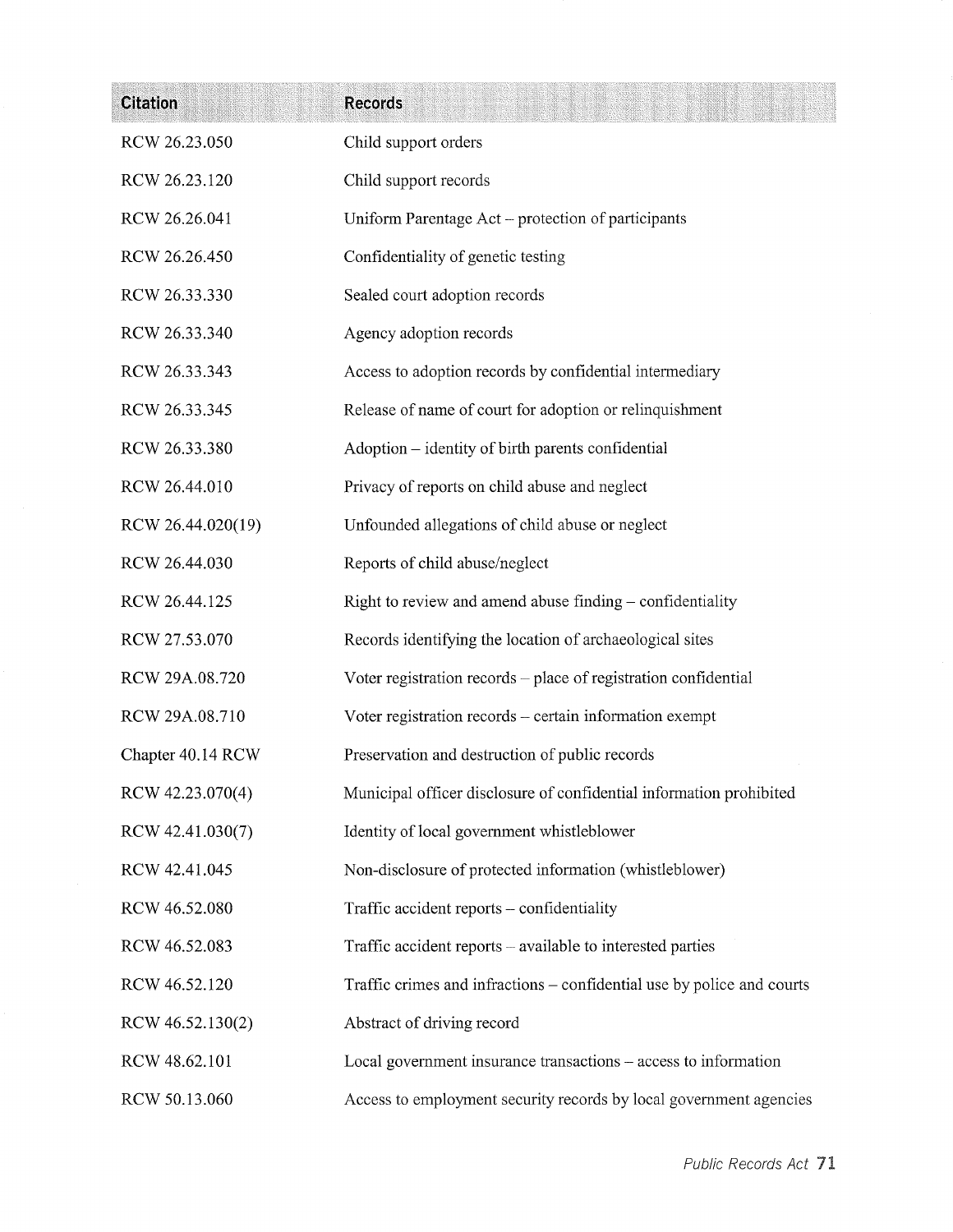| <b>Citation</b>   | <b>Records</b>                                                         |
|-------------------|------------------------------------------------------------------------|
| RCW 26.23.050     | Child support orders                                                   |
| RCW 26.23.120     | Child support records                                                  |
| RCW 26.26.041     | Uniform Parentage Act – protection of participants                     |
| RCW 26.26.450     | Confidentiality of genetic testing                                     |
| RCW 26.33.330     | Sealed court adoption records                                          |
| RCW 26.33.340     | Agency adoption records                                                |
| RCW 26.33.343     | Access to adoption records by confidential intermediary                |
| RCW 26.33.345     | Release of name of court for adoption or relinquishment                |
| RCW 26.33.380     | Adoption – identity of birth parents confidential                      |
| RCW 26.44.010     | Privacy of reports on child abuse and neglect                          |
| RCW 26.44.020(19) | Unfounded allegations of child abuse or neglect                        |
| RCW 26.44.030     | Reports of child abuse/neglect                                         |
| RCW 26.44.125     | Right to review and amend abuse finding – confidentiality              |
| RCW 27.53.070     | Records identifying the location of archaeological sites               |
| RCW 29A.08.720    | Voter registration records - place of registration confidential        |
| RCW 29A.08.710    | Voter registration records - certain information exempt                |
| Chapter 40.14 RCW | Preservation and destruction of public records                         |
| RCW 42.23.070(4)  | Municipal officer disclosure of confidential information prohibited    |
| RCW 42.41.030(7)  | Identity of local government whistleblower                             |
| RCW 42.41.045     | Non-disclosure of protected information (whistleblower)                |
| RCW 46.52.080     | Traffic accident reports - confidentiality                             |
| RCW 46.52.083     | Traffic accident reports – available to interested parties             |
| RCW 46.52.120     | Traffic crimes and infractions – confidential use by police and courts |
| RCW 46.52.130(2)  | Abstract of driving record                                             |
| RCW 48.62.101     | Local government insurance transactions - access to information        |
| RCW 50.13.060     | Access to employment security records by local government agencies     |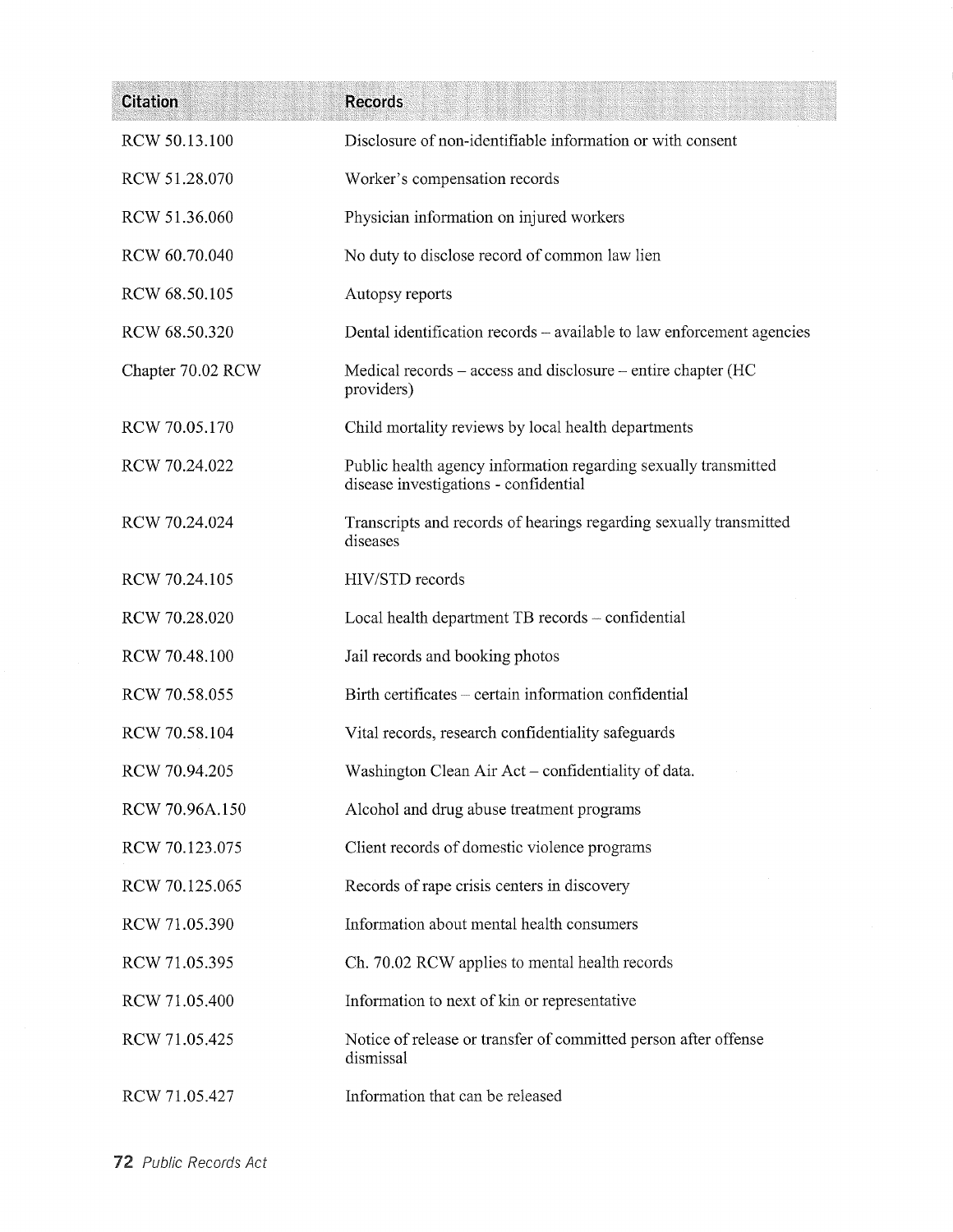| <b>Citation</b>   | <b>Records</b>                                                                                           |
|-------------------|----------------------------------------------------------------------------------------------------------|
| RCW 50.13.100     | Disclosure of non-identifiable information or with consent                                               |
| RCW 51.28.070     | Worker's compensation records                                                                            |
| RCW 51.36.060     | Physician information on injured workers                                                                 |
| RCW 60.70.040     | No duty to disclose record of common law lien                                                            |
| RCW 68.50.105     | Autopsy reports                                                                                          |
| RCW 68.50.320     | Dental identification records – available to law enforcement agencies                                    |
| Chapter 70.02 RCW | Medical records – access and disclosure – entire chapter (HC<br>providers)                               |
| RCW 70.05.170     | Child mortality reviews by local health departments                                                      |
| RCW 70.24.022     | Public health agency information regarding sexually transmitted<br>disease investigations - confidential |
| RCW 70.24.024     | Transcripts and records of hearings regarding sexually transmitted<br>diseases                           |
| RCW 70.24.105     | HIV/STD records                                                                                          |
| RCW 70.28.020     | Local health department TB records - confidential                                                        |
| RCW 70.48.100     | Jail records and booking photos                                                                          |
| RCW 70.58.055     | Birth certificates – certain information confidential                                                    |
| RCW 70.58.104     | Vital records, research confidentiality safeguards                                                       |
| RCW 70.94.205     | Washington Clean Air Act – confidentiality of data.                                                      |
| RCW 70.96A.150    | Alcohol and drug abuse treatment programs                                                                |
| RCW 70.123.075    | Client records of domestic violence programs                                                             |
| RCW 70.125.065    | Records of rape crisis centers in discovery                                                              |
| RCW 71.05.390     | Information about mental health consumers                                                                |
| RCW 71.05.395     | Ch. 70.02 RCW applies to mental health records                                                           |
| RCW 71.05.400     | Information to next of kin or representative                                                             |
| RCW 71.05.425     | Notice of release or transfer of committed person after offense<br>dismissal                             |
| RCW 71.05.427     | Information that can be released                                                                         |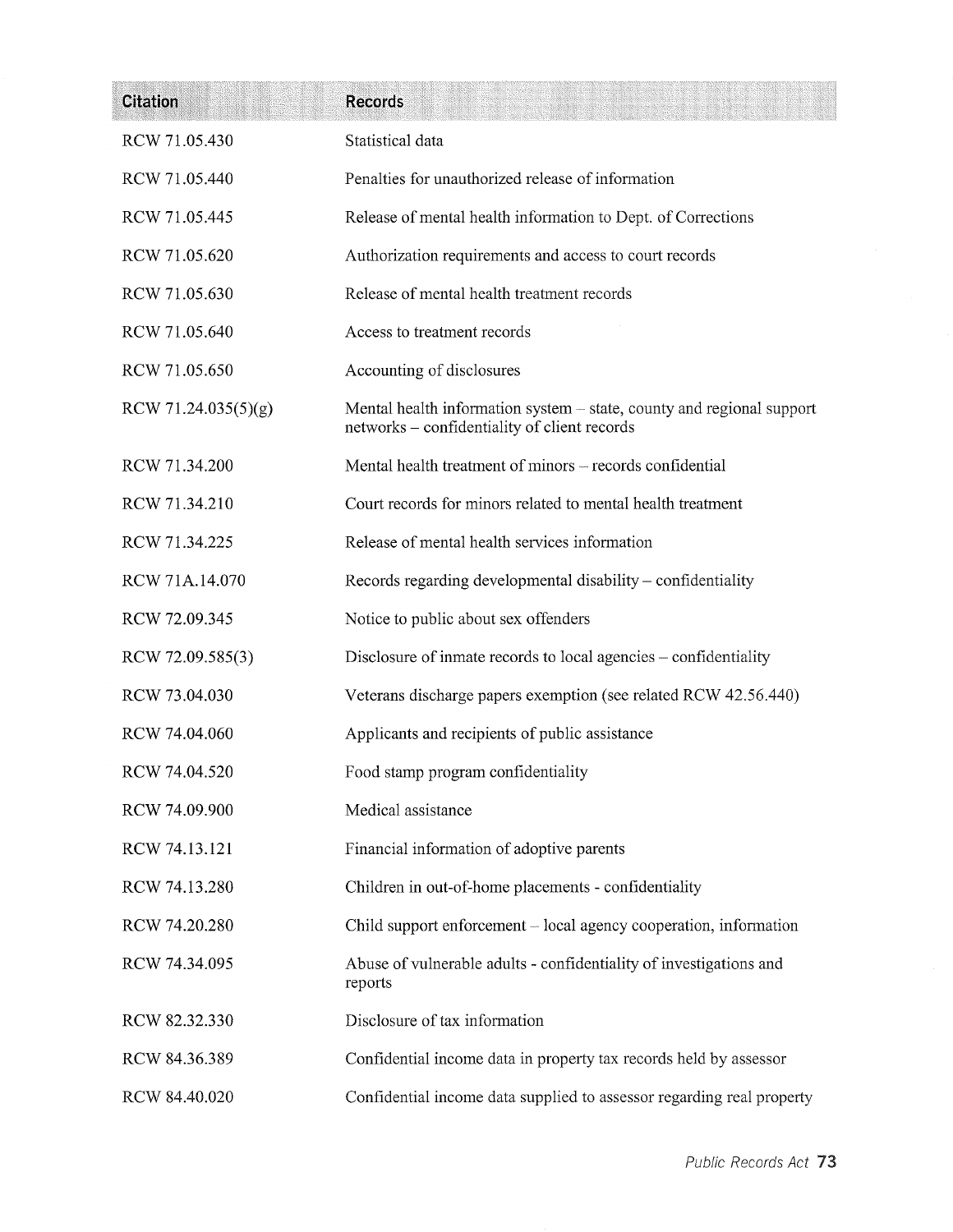| <b>Citation</b>     | <b>Records</b>                                                                                                        |
|---------------------|-----------------------------------------------------------------------------------------------------------------------|
| RCW 71.05.430       | Statistical data                                                                                                      |
| RCW 71.05.440       | Penalties for unauthorized release of information                                                                     |
| RCW 71.05.445       | Release of mental health information to Dept. of Corrections                                                          |
| RCW 71.05.620       | Authorization requirements and access to court records                                                                |
| RCW 71.05.630       | Release of mental health treatment records                                                                            |
| RCW 71.05.640       | Access to treatment records                                                                                           |
| RCW 71.05.650       | Accounting of disclosures                                                                                             |
| RCW 71.24.035(5)(g) | Mental health information system – state, county and regional support<br>networks - confidentiality of client records |
| RCW 71.34.200       | Mental health treatment of minors – records confidential                                                              |
| RCW 71.34.210       | Court records for minors related to mental health treatment                                                           |
| RCW 71.34.225       | Release of mental health services information                                                                         |
| RCW 71A.14.070      | Records regarding developmental disability – confidentiality                                                          |
| RCW 72.09.345       | Notice to public about sex offenders                                                                                  |
| RCW 72.09.585(3)    | Disclosure of inmate records to local agencies – confidentiality                                                      |
| RCW 73.04.030       | Veterans discharge papers exemption (see related RCW 42.56.440)                                                       |
| RCW 74.04.060       | Applicants and recipients of public assistance                                                                        |
| RCW 74.04.520       | Food stamp program confidentiality                                                                                    |
| RCW 74.09.900       | Medical assistance                                                                                                    |
| RCW 74.13.121       | Financial information of adoptive parents                                                                             |
| RCW 74.13.280       | Children in out-of-home placements - confidentiality                                                                  |
| RCW 74.20.280       | Child support enforcement – local agency cooperation, information                                                     |
| RCW 74.34.095       | Abuse of vulnerable adults - confidentiality of investigations and<br>reports                                         |
| RCW 82.32.330       | Disclosure of tax information                                                                                         |
| RCW 84.36.389       | Confidential income data in property tax records held by assessor                                                     |
| RCW 84.40.020       | Confidential income data supplied to assessor regarding real property                                                 |